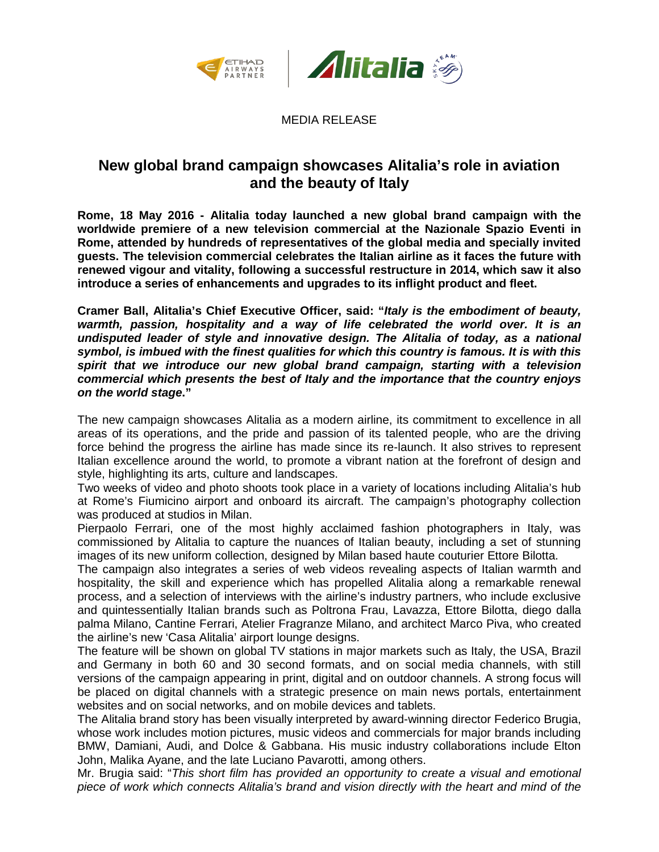



MEDIA RELEASE

## **New global brand campaign showcases Alitalia's role in aviation and the beauty of Italy**

**Rome, 18 May 2016 - Alitalia today launched a new global brand campaign with the worldwide premiere of a new television commercial at the Nazionale Spazio Eventi in Rome, attended by hundreds of representatives of the global media and specially invited guests. The television commercial celebrates the Italian airline as it faces the future with renewed vigour and vitality, following a successful restructure in 2014, which saw it also introduce a series of enhancements and upgrades to its inflight product and fleet.**

**Cramer Ball, Alitalia's Chief Executive Officer, said: "***Italy is the embodiment of beauty, warmth, passion, hospitality and a way of life celebrated the world over. It is an undisputed leader of style and innovative design. The Alitalia of today, as a national symbol, is imbued with the finest qualities for which this country is famous. It is with this spirit that we introduce our new global brand campaign, starting with a television commercial which presents the best of Italy and the importance that the country enjoys on the world stage***."**

The new campaign showcases Alitalia as a modern airline, its commitment to excellence in all areas of its operations, and the pride and passion of its talented people, who are the driving force behind the progress the airline has made since its re-launch. It also strives to represent Italian excellence around the world, to promote a vibrant nation at the forefront of design and style, highlighting its arts, culture and landscapes.

Two weeks of video and photo shoots took place in a variety of locations including Alitalia's hub at Rome's Fiumicino airport and onboard its aircraft. The campaign's photography collection was produced at studios in Milan.

Pierpaolo Ferrari, one of the most highly acclaimed fashion photographers in Italy, was commissioned by Alitalia to capture the nuances of Italian beauty, including a set of stunning images of its new uniform collection, designed by Milan based haute couturier Ettore Bilotta.

The campaign also integrates a series of web videos revealing aspects of Italian warmth and hospitality, the skill and experience which has propelled Alitalia along a remarkable renewal process, and a selection of interviews with the airline's industry partners, who include exclusive and quintessentially Italian brands such as Poltrona Frau, Lavazza, Ettore Bilotta, diego dalla palma Milano, Cantine Ferrari, Atelier Fragranze Milano, and architect Marco Piva, who created the airline's new 'Casa Alitalia' airport lounge designs.

The feature will be shown on global TV stations in major markets such as Italy, the USA, Brazil and Germany in both 60 and 30 second formats, and on social media channels, with still versions of the campaign appearing in print, digital and on outdoor channels. A strong focus will be placed on digital channels with a strategic presence on main news portals, entertainment websites and on social networks, and on mobile devices and tablets.

The Alitalia brand story has been visually interpreted by award-winning director Federico Brugia, whose work includes motion pictures, music videos and commercials for major brands including BMW, Damiani, Audi, and Dolce & Gabbana. His music industry collaborations include Elton John, Malika Ayane, and the late Luciano Pavarotti, among others.

Mr. Brugia said: "*This short film has provided an opportunity to create a visual and emotional piece of work which connects Alitalia's brand and vision directly with the heart and mind of the*